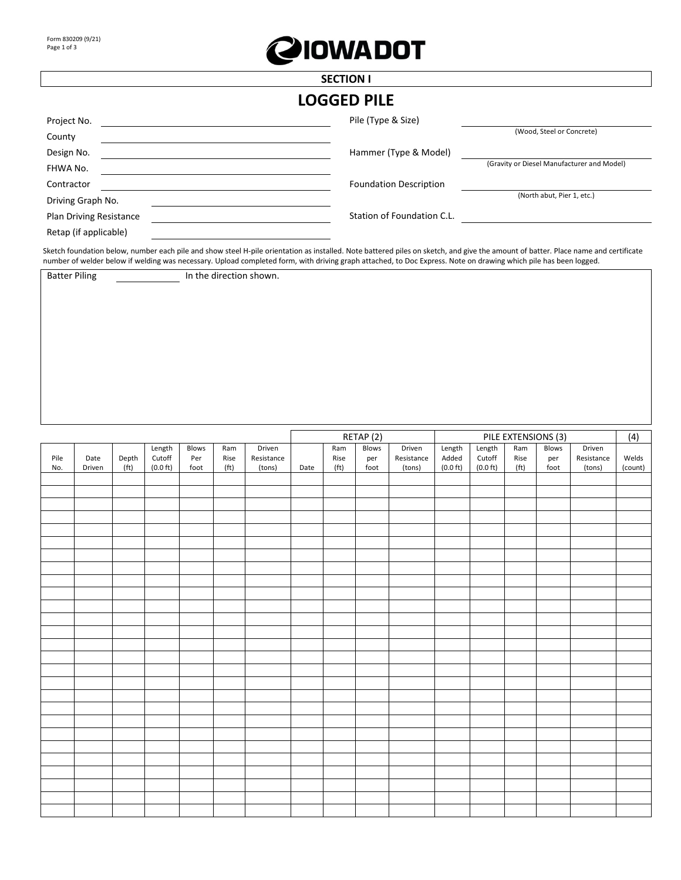

## **SECTION I LOGGED PILE**

|                         | ,,,,,,,,,,,                   |                                            |
|-------------------------|-------------------------------|--------------------------------------------|
| Project No.             | Pile (Type & Size)            |                                            |
| County                  |                               | (Wood, Steel or Concrete)                  |
| Design No.              | Hammer (Type & Model)         |                                            |
| FHWA No.                |                               | (Gravity or Diesel Manufacturer and Model) |
| Contractor              | <b>Foundation Description</b> |                                            |
| Driving Graph No.       |                               | (North abut, Pier 1, etc.)                 |
| Plan Driving Resistance | Station of Foundation C.L.    |                                            |
| Retap (if applicable)   |                               |                                            |

Sketch foundation below, number each pile and show steel H-pile orientation as installed. Note battered piles on sketch, and give the amount of batter. Place name and certificate number of welder below if welding was necessary. Upload completed form, with driving graph attached, to Doc Express. Note on drawing which pile has been logged.

 $\mathbf{r}$ 

Batter Piling **In the direction shown.** 

|      |        |                   |                    |       |                   |            | RETAP (2) |                   |              | PILE EXTENSIONS (3) |                    |                    |                   |       |            |         |
|------|--------|-------------------|--------------------|-------|-------------------|------------|-----------|-------------------|--------------|---------------------|--------------------|--------------------|-------------------|-------|------------|---------|
|      |        |                   | Length             | Blows | Ram               | Driven     |           | Ram               | Blows        | Driven              | Length             | Length             | Ram               | Blows | Driven     | (4)     |
| Pile | Date   | Depth             | Cutoff             | Per   | Rise              | Resistance |           | Rise              | per          | Resistance          | Added              | Cutoff             | Rise              | per   | Resistance | Welds   |
| No.  | Driven | (f <sub>t</sub> ) | $(0.0 \text{ ft})$ | foot  | (f <sub>t</sub> ) | (tons)     | Date      | (f <sup>t</sup> ) | ${\sf foot}$ | (tons)              | $(0.0 \text{ ft})$ | $(0.0 \text{ ft})$ | (f <sup>t</sup> ) | foot  | (tons)     | (count) |
|      |        |                   |                    |       |                   |            |           |                   |              |                     |                    |                    |                   |       |            |         |
|      |        |                   |                    |       |                   |            |           |                   |              |                     |                    |                    |                   |       |            |         |
|      |        |                   |                    |       |                   |            |           |                   |              |                     |                    |                    |                   |       |            |         |
|      |        |                   |                    |       |                   |            |           |                   |              |                     |                    |                    |                   |       |            |         |
|      |        |                   |                    |       |                   |            |           |                   |              |                     |                    |                    |                   |       |            |         |
|      |        |                   |                    |       |                   |            |           |                   |              |                     |                    |                    |                   |       |            |         |
|      |        |                   |                    |       |                   |            |           |                   |              |                     |                    |                    |                   |       |            |         |
|      |        |                   |                    |       |                   |            |           |                   |              |                     |                    |                    |                   |       |            |         |
|      |        |                   |                    |       |                   |            |           |                   |              |                     |                    |                    |                   |       |            |         |
|      |        |                   |                    |       |                   |            |           |                   |              |                     |                    |                    |                   |       |            |         |
|      |        |                   |                    |       |                   |            |           |                   |              |                     |                    |                    |                   |       |            |         |
|      |        |                   |                    |       |                   |            |           |                   |              |                     |                    |                    |                   |       |            |         |
|      |        |                   |                    |       |                   |            |           |                   |              |                     |                    |                    |                   |       |            |         |
|      |        |                   |                    |       |                   |            |           |                   |              |                     |                    |                    |                   |       |            |         |
|      |        |                   |                    |       |                   |            |           |                   |              |                     |                    |                    |                   |       |            |         |
|      |        |                   |                    |       |                   |            |           |                   |              |                     |                    |                    |                   |       |            |         |
|      |        |                   |                    |       |                   |            |           |                   |              |                     |                    |                    |                   |       |            |         |
|      |        |                   |                    |       |                   |            |           |                   |              |                     |                    |                    |                   |       |            |         |
|      |        |                   |                    |       |                   |            |           |                   |              |                     |                    |                    |                   |       |            |         |
|      |        |                   |                    |       |                   |            |           |                   |              |                     |                    |                    |                   |       |            |         |
|      |        |                   |                    |       |                   |            |           |                   |              |                     |                    |                    |                   |       |            |         |
|      |        |                   |                    |       |                   |            |           |                   |              |                     |                    |                    |                   |       |            |         |
|      |        |                   |                    |       |                   |            |           |                   |              |                     |                    |                    |                   |       |            |         |
|      |        |                   |                    |       |                   |            |           |                   |              |                     |                    |                    |                   |       |            |         |
|      |        |                   |                    |       |                   |            |           |                   |              |                     |                    |                    |                   |       |            |         |
|      |        |                   |                    |       |                   |            |           |                   |              |                     |                    |                    |                   |       |            |         |
|      |        |                   |                    |       |                   |            |           |                   |              |                     |                    |                    |                   |       |            |         |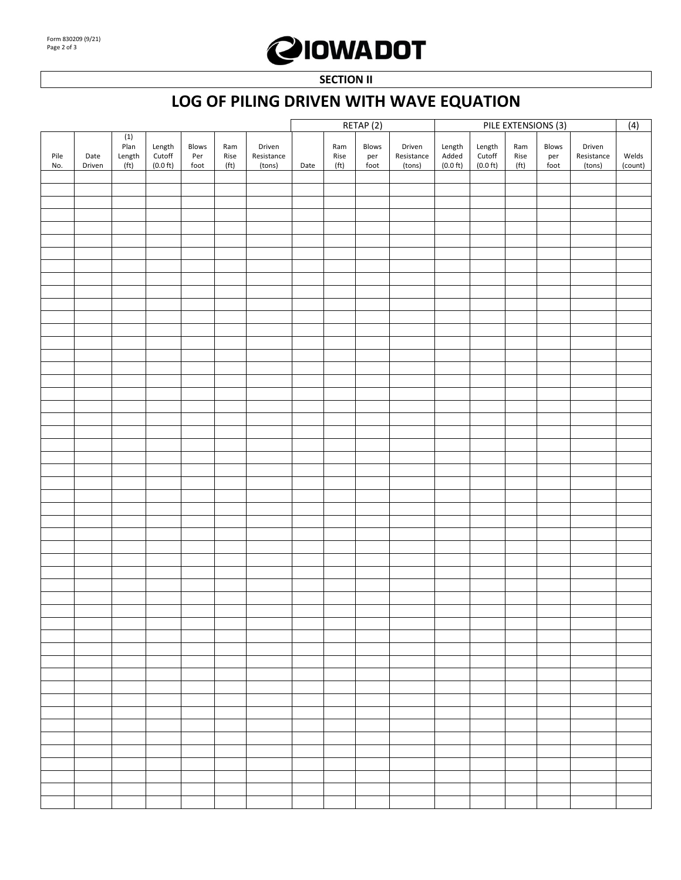## **QIOWADOT**

**SECTION II** 

## **LOG OF PILING DRIVEN WITH WAVE EQUATION**

|             |                |                               |                              |                                              |                                             |                                | RETAP (2) |                                  |                      | PILE EXTENSIONS (3)            |                                       |                                        |                                             |                                          |                                |                         |
|-------------|----------------|-------------------------------|------------------------------|----------------------------------------------|---------------------------------------------|--------------------------------|-----------|----------------------------------|----------------------|--------------------------------|---------------------------------------|----------------------------------------|---------------------------------------------|------------------------------------------|--------------------------------|-------------------------|
| Pile<br>No. | Date<br>Driven | (1)<br>Plan<br>Length<br>(ft) | Length<br>Cutoff<br>(0.0 ft) | Blows<br>$\ensuremath{\mathsf{Per}}$<br>foot | Ram<br>$\mathsf{Rise}$<br>(f <sub>t</sub> ) | Driven<br>Resistance<br>(tons) | Date      | Ram<br>Rise<br>(f <sup>t</sup> ) | Blows<br>per<br>foot | Driven<br>Resistance<br>(tons) | Length<br>Added<br>$(0.0 \text{ ft})$ | Length<br>Cutoff<br>$(0.0 \text{ ft})$ | Ram<br>$\mathsf{Rise}$<br>(f <sub>t</sub> ) | Blows<br>$\mathop{\mathsf{per}}$<br>foot | Driven<br>Resistance<br>(tons) | (4)<br>Welds<br>(count) |
|             |                |                               |                              |                                              |                                             |                                |           |                                  |                      |                                |                                       |                                        |                                             |                                          |                                |                         |
|             |                |                               |                              |                                              |                                             |                                |           |                                  |                      |                                |                                       |                                        |                                             |                                          |                                |                         |
|             |                |                               |                              |                                              |                                             |                                |           |                                  |                      |                                |                                       |                                        |                                             |                                          |                                |                         |
|             |                |                               |                              |                                              |                                             |                                |           |                                  |                      |                                |                                       |                                        |                                             |                                          |                                |                         |
|             |                |                               |                              |                                              |                                             |                                |           |                                  |                      |                                |                                       |                                        |                                             |                                          |                                |                         |
|             |                |                               |                              |                                              |                                             |                                |           |                                  |                      |                                |                                       |                                        |                                             |                                          |                                |                         |
|             |                |                               |                              |                                              |                                             |                                |           |                                  |                      |                                |                                       |                                        |                                             |                                          |                                |                         |
|             |                |                               |                              |                                              |                                             |                                |           |                                  |                      |                                |                                       |                                        |                                             |                                          |                                |                         |
|             |                |                               |                              |                                              |                                             |                                |           |                                  |                      |                                |                                       |                                        |                                             |                                          |                                |                         |
|             |                |                               |                              |                                              |                                             |                                |           |                                  |                      |                                |                                       |                                        |                                             |                                          |                                |                         |
|             |                |                               |                              |                                              |                                             |                                |           |                                  |                      |                                |                                       |                                        |                                             |                                          |                                |                         |
|             |                |                               |                              |                                              |                                             |                                |           |                                  |                      |                                |                                       |                                        |                                             |                                          |                                |                         |
|             |                |                               |                              |                                              |                                             |                                |           |                                  |                      |                                |                                       |                                        |                                             |                                          |                                |                         |
|             |                |                               |                              |                                              |                                             |                                |           |                                  |                      |                                |                                       |                                        |                                             |                                          |                                |                         |
|             |                |                               |                              |                                              |                                             |                                |           |                                  |                      |                                |                                       |                                        |                                             |                                          |                                |                         |
|             |                |                               |                              |                                              |                                             |                                |           |                                  |                      |                                |                                       |                                        |                                             |                                          |                                |                         |
|             |                |                               |                              |                                              |                                             |                                |           |                                  |                      |                                |                                       |                                        |                                             |                                          |                                |                         |
|             |                |                               |                              |                                              |                                             |                                |           |                                  |                      |                                |                                       |                                        |                                             |                                          |                                |                         |
|             |                |                               |                              |                                              |                                             |                                |           |                                  |                      |                                |                                       |                                        |                                             |                                          |                                |                         |
|             |                |                               |                              |                                              |                                             |                                |           |                                  |                      |                                |                                       |                                        |                                             |                                          |                                |                         |
|             |                |                               |                              |                                              |                                             |                                |           |                                  |                      |                                |                                       |                                        |                                             |                                          |                                |                         |
|             |                |                               |                              |                                              |                                             |                                |           |                                  |                      |                                |                                       |                                        |                                             |                                          |                                |                         |
|             |                |                               |                              |                                              |                                             |                                |           |                                  |                      |                                |                                       |                                        |                                             |                                          |                                |                         |
|             |                |                               |                              |                                              |                                             |                                |           |                                  |                      |                                |                                       |                                        |                                             |                                          |                                |                         |
|             |                |                               |                              |                                              |                                             |                                |           |                                  |                      |                                |                                       |                                        |                                             |                                          |                                |                         |
|             |                |                               |                              |                                              |                                             |                                |           |                                  |                      |                                |                                       |                                        |                                             |                                          |                                |                         |
|             |                |                               |                              |                                              |                                             |                                |           |                                  |                      |                                |                                       |                                        |                                             |                                          |                                |                         |
|             |                |                               |                              |                                              |                                             |                                |           |                                  |                      |                                |                                       |                                        |                                             |                                          |                                |                         |
|             |                |                               |                              |                                              |                                             |                                |           |                                  |                      |                                |                                       |                                        |                                             |                                          |                                |                         |
|             |                |                               |                              |                                              |                                             |                                |           |                                  |                      |                                |                                       |                                        |                                             |                                          |                                |                         |
|             |                |                               |                              |                                              |                                             |                                |           |                                  |                      |                                |                                       |                                        |                                             |                                          |                                |                         |
|             |                |                               |                              |                                              |                                             |                                |           |                                  |                      |                                |                                       |                                        |                                             |                                          |                                |                         |
|             |                |                               |                              |                                              |                                             |                                |           |                                  |                      |                                |                                       |                                        |                                             |                                          |                                |                         |
|             |                |                               |                              |                                              |                                             |                                |           |                                  |                      |                                |                                       |                                        |                                             |                                          |                                |                         |
|             |                |                               |                              |                                              |                                             |                                |           |                                  |                      |                                |                                       |                                        |                                             |                                          |                                |                         |
|             |                |                               |                              |                                              |                                             |                                |           |                                  |                      |                                |                                       |                                        |                                             |                                          |                                |                         |
|             |                |                               |                              |                                              |                                             |                                |           |                                  |                      |                                |                                       |                                        |                                             |                                          |                                |                         |
|             |                |                               |                              |                                              |                                             |                                |           |                                  |                      |                                |                                       |                                        |                                             |                                          |                                |                         |
|             |                |                               |                              |                                              |                                             |                                |           |                                  |                      |                                |                                       |                                        |                                             |                                          |                                |                         |
|             |                |                               |                              |                                              |                                             |                                |           |                                  |                      |                                |                                       |                                        |                                             |                                          |                                |                         |
|             |                |                               |                              |                                              |                                             |                                |           |                                  |                      |                                |                                       |                                        |                                             |                                          |                                |                         |
|             |                |                               |                              |                                              |                                             |                                |           |                                  |                      |                                |                                       |                                        |                                             |                                          |                                |                         |
|             |                |                               |                              |                                              |                                             |                                |           |                                  |                      |                                |                                       |                                        |                                             |                                          |                                |                         |
|             |                |                               |                              |                                              |                                             |                                |           |                                  |                      |                                |                                       |                                        |                                             |                                          |                                |                         |
|             |                |                               |                              |                                              |                                             |                                |           |                                  |                      |                                |                                       |                                        |                                             |                                          |                                |                         |
|             |                |                               |                              |                                              |                                             |                                |           |                                  |                      |                                |                                       |                                        |                                             |                                          |                                |                         |
|             |                |                               |                              |                                              |                                             |                                |           |                                  |                      |                                |                                       |                                        |                                             |                                          |                                |                         |
|             |                |                               |                              |                                              |                                             |                                |           |                                  |                      |                                |                                       |                                        |                                             |                                          |                                |                         |
|             |                |                               |                              |                                              |                                             |                                |           |                                  |                      |                                |                                       |                                        |                                             |                                          |                                |                         |
|             |                |                               |                              |                                              |                                             |                                |           |                                  |                      |                                |                                       |                                        |                                             |                                          |                                |                         |
|             |                |                               |                              |                                              |                                             |                                |           |                                  |                      |                                |                                       |                                        |                                             |                                          |                                |                         |
|             |                |                               |                              |                                              |                                             |                                |           |                                  |                      |                                |                                       |                                        |                                             |                                          |                                |                         |
|             |                |                               |                              |                                              |                                             |                                |           |                                  |                      |                                |                                       |                                        |                                             |                                          |                                |                         |